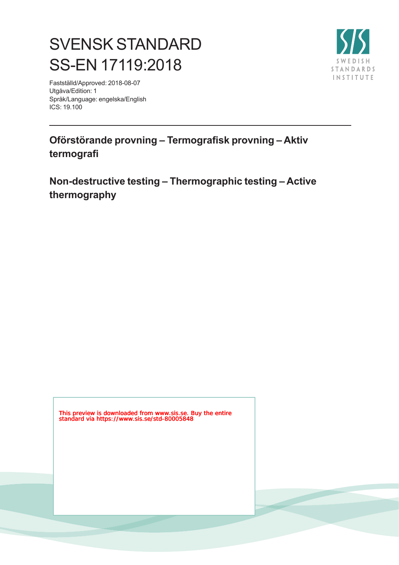# SVENSK STANDARD SS-EN 17119:2018

**SWEDISH STANDARDS INSTITUTE** 

Fastställd/Approved: 2018-08-07 Utgåva/Edition: 1 Språk/Language: engelska/English ICS: 19.100

### **Oförstörande provning – Termografisk provning – Aktiv termografi**

**Non-destructive testing – Thermographic testing – Active thermography**

This preview is downloaded from www.sis.se. Buy the entire standard via https://www.sis.se/std-80005848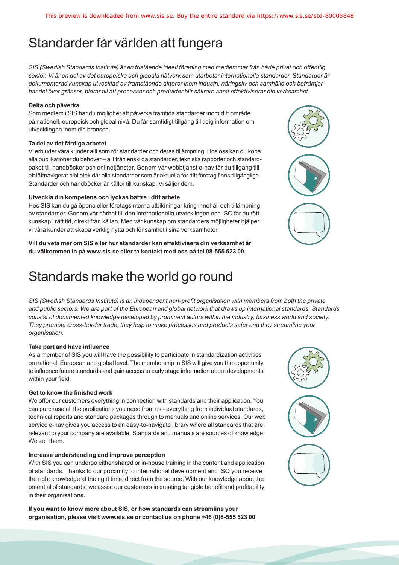## Standarder får världen att fungera

*SIS (Swedish Standards Institute) är en fristående ideell förening med medlemmar från både privat och offentlig sektor. Vi är en del av det europeiska och globala nätverk som utarbetar internationella standarder. Standarder är dokumenterad kunskap utvecklad av framstående aktörer inom industri, näringsliv och samhälle och befrämjar handel över gränser, bidrar till att processer och produkter blir säkrare samt effektiviserar din verksamhet.* 

#### **Delta och påverka**

Som medlem i SIS har du möjlighet att påverka framtida standarder inom ditt område på nationell, europeisk och global nivå. Du får samtidigt tillgång till tidig information om utvecklingen inom din bransch.

#### **Ta del av det färdiga arbetet**

Vi erbjuder våra kunder allt som rör standarder och deras tillämpning. Hos oss kan du köpa alla publikationer du behöver – allt från enskilda standarder, tekniska rapporter och standardpaket till handböcker och onlinetjänster. Genom vår webbtjänst e-nav får du tillgång till ett lättnavigerat bibliotek där alla standarder som är aktuella för ditt företag finns tillgängliga. Standarder och handböcker är källor till kunskap. Vi säljer dem.

#### **Utveckla din kompetens och lyckas bättre i ditt arbete**

Hos SIS kan du gå öppna eller företagsinterna utbildningar kring innehåll och tillämpning av standarder. Genom vår närhet till den internationella utvecklingen och ISO får du rätt kunskap i rätt tid, direkt från källan. Med vår kunskap om standarders möjligheter hjälper vi våra kunder att skapa verklig nytta och lönsamhet i sina verksamheter.

**Vill du veta mer om SIS eller hur standarder kan effektivisera din verksamhet är du välkommen in på www.sis.se eller ta kontakt med oss på tel 08-555 523 00.**

## Standards make the world go round

*SIS (Swedish Standards Institute) is an independent non-profit organisation with members from both the private and public sectors. We are part of the European and global network that draws up international standards. Standards consist of documented knowledge developed by prominent actors within the industry, business world and society. They promote cross-border trade, they help to make processes and products safer and they streamline your organisation.*

#### **Take part and have influence**

As a member of SIS you will have the possibility to participate in standardization activities on national, European and global level. The membership in SIS will give you the opportunity to influence future standards and gain access to early stage information about developments within your field.

#### **Get to know the finished work**

We offer our customers everything in connection with standards and their application. You can purchase all the publications you need from us - everything from individual standards, technical reports and standard packages through to manuals and online services. Our web service e-nav gives you access to an easy-to-navigate library where all standards that are relevant to your company are available. Standards and manuals are sources of knowledge. We sell them.

#### **Increase understanding and improve perception**

With SIS you can undergo either shared or in-house training in the content and application of standards. Thanks to our proximity to international development and ISO you receive the right knowledge at the right time, direct from the source. With our knowledge about the potential of standards, we assist our customers in creating tangible benefit and profitability in their organisations.

**If you want to know more about SIS, or how standards can streamline your organisation, please visit www.sis.se or contact us on phone +46 (0)8-555 523 00**



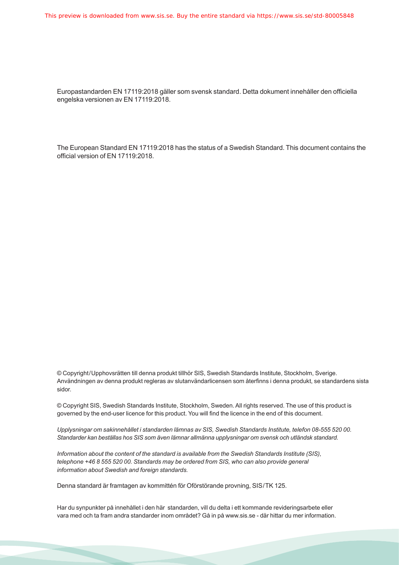Europastandarden EN 17119:2018 gäller som svensk standard. Detta dokument innehåller den officiella engelska versionen av EN 17119:2018.

The European Standard EN 17119:2018 has the status of a Swedish Standard. This document contains the official version of EN 17119:2018.

© Copyright / Upphovsrätten till denna produkt tillhör SIS, Swedish Standards Institute, Stockholm, Sverige. Användningen av denna produkt regleras av slutanvändarlicensen som återfinns i denna produkt, se standardens sista sidor.

© Copyright SIS, Swedish Standards Institute, Stockholm, Sweden. All rights reserved. The use of this product is governed by the end-user licence for this product. You will find the licence in the end of this document.

*Upplysningar om sakinnehållet i standarden lämnas av SIS, Swedish Standards Institute, telefon 08-555 520 00. Standarder kan beställas hos SIS som även lämnar allmänna upplysningar om svensk och utländsk standard.*

*Information about the content of the standard is available from the Swedish Standards Institute (SIS), telephone +46 8 555 520 00. Standards may be ordered from SIS, who can also provide general information about Swedish and foreign standards.*

Denna standard är framtagen av kommittén för Oförstörande provning, SIS / TK 125.

Har du synpunkter på innehållet i den här standarden, vill du delta i ett kommande revideringsarbete eller vara med och ta fram andra standarder inom området? Gå in på www.sis.se - där hittar du mer information.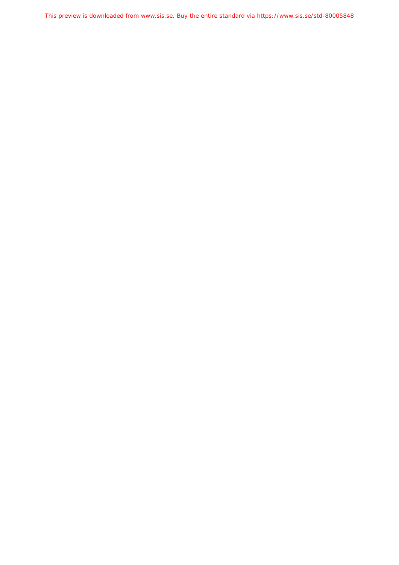This preview is downloaded from www.sis.se. Buy the entire standard via https://www.sis.se/std-80005848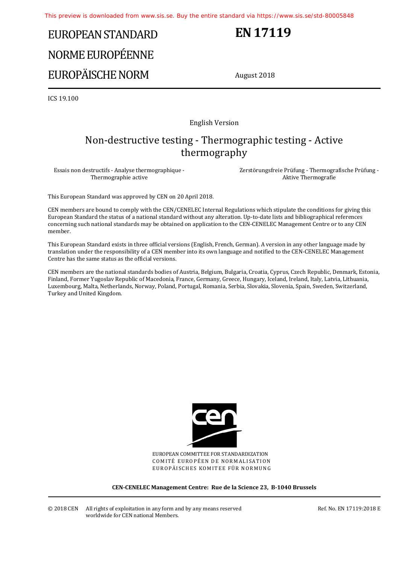## EUROPEAN STANDARD NORME EUROPÉENNE EUROPÄISCHE NORM

## **EN 17119**

August 2018

ICS 19.100

English Version

### Non-destructive testing - Thermographic testing - Active thermography

Essais non destructifs - Analyse thermographique - Thermographie active

 Zerstörungsfreie Prüfung - Thermografische Prüfung - Aktive Thermografie

This European Standard was approved by CEN on 20 April 2018.

CEN members are bound to comply with the CEN/CENELEC Internal Regulations which stipulate the conditions for giving this European Standard the status of a national standard without any alteration. Up-to-date lists and bibliographical references concerning such national standards may be obtained on application to the CEN-CENELEC Management Centre or to any CEN member.

This European Standard exists in three official versions (English, French, German). A version in any other language made by translation under the responsibility of a CEN member into its own language and notified to the CEN-CENELEC Management Centre has the same status as the official versions.

CEN members are the national standards bodies of Austria, Belgium, Bulgaria, Croatia, Cyprus, Czech Republic, Denmark, Estonia, Finland, Former Yugoslav Republic of Macedonia, France, Germany, Greece, Hungary, Iceland, Ireland, Italy, Latvia, Lithuania, Luxembourg, Malta, Netherlands, Norway, Poland, Portugal, Romania, Serbia, Slovakia, Slovenia, Spain, Sweden, Switzerland, Turkey and United Kingdom.



EUROPEAN COMMITTEE FOR STANDARDIZATION COMITÉ EUROPÉEN DE NORMALISATION EUROPÄISCHES KOMITEE FÜR NORMUNG

**CEN-CENELEC Management Centre: Rue de la Science 23, B-1040 Brussels**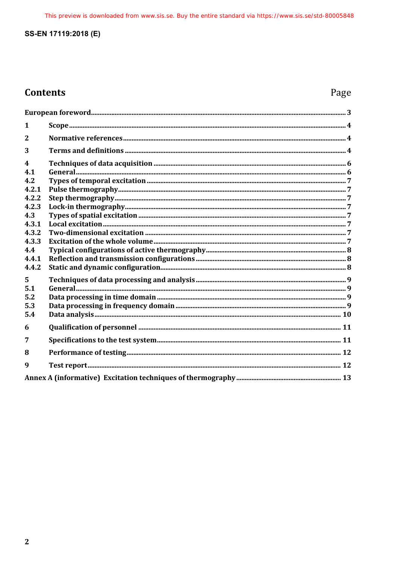This preview is downloaded from www.sis.se. Buy the entire standard via https://www.sis.se/std-80005848

#### SS-EN 17119:2018 (E)

### **Contents**

### Page

| $\mathbf{1}$                   |  |  |
|--------------------------------|--|--|
| $\overline{2}$                 |  |  |
| 3                              |  |  |
| $\overline{\mathbf{4}}$<br>4.1 |  |  |
| 4.2<br>4.2.1                   |  |  |
| 4.2.2                          |  |  |
| 4.2.3                          |  |  |
| 4.3                            |  |  |
| 4.3.1                          |  |  |
| 4.3.2<br>4.3.3                 |  |  |
| 4.4                            |  |  |
| 4.4.1                          |  |  |
| 4.4.2                          |  |  |
| 5<br>5.1                       |  |  |
| 5.2                            |  |  |
| 5.3<br>5.4                     |  |  |
| 6                              |  |  |
| 7                              |  |  |
| 8                              |  |  |
| 9                              |  |  |
|                                |  |  |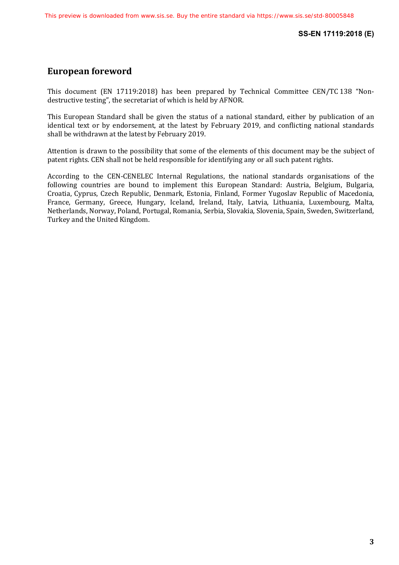### <span id="page-6-0"></span>**European foreword**

This document (EN 17119:2018) has been prepared by Technical Committee CEN/TC 138 "Nondestructive testing", the secretariat of which is held by AFNOR.

This European Standard shall be given the status of a national standard, either by publication of an identical text or by endorsement, at the latest by February 2019, and conflicting national standards shall be withdrawn at the latest by February 2019.

Attention is drawn to the possibility that some of the elements of this document may be the subject of patent rights. CEN shall not be held responsible for identifying any or all such patent rights.

According to the CEN-CENELEC Internal Regulations, the national standards organisations of the following countries are bound to implement this European Standard: Austria, Belgium, Bulgaria, Croatia, Cyprus, Czech Republic, Denmark, Estonia, Finland, Former Yugoslav Republic of Macedonia, France, Germany, Greece, Hungary, Iceland, Ireland, Italy, Latvia, Lithuania, Luxembourg, Malta, Netherlands, Norway, Poland, Portugal, Romania, Serbia, Slovakia, Slovenia, Spain, Sweden, Switzerland, Turkey and the United Kingdom.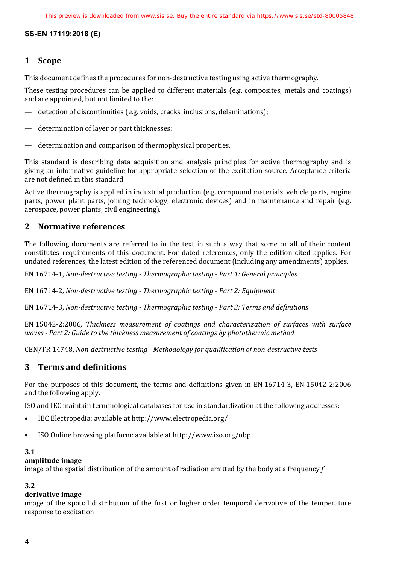#### <span id="page-7-0"></span>**1 Scope**

This document defines the procedures for non-destructive testing using active thermography.

These testing procedures can be applied to different materials (e.g. composites, metals and coatings) and are appointed, but not limited to the:

- detection of discontinuities (e.g. voids, cracks, inclusions, delaminations);
- determination of layer or part thicknesses;
- determination and comparison of thermophysical properties.

This standard is describing data acquisition and analysis principles for active thermography and is giving an informative guideline for appropriate selection of the excitation source. Acceptance criteria are not defined in this standard.

Active thermography is applied in industrial production (e.g. compound materials, vehicle parts, engine parts, power plant parts, joining technology, electronic devices) and in maintenance and repair (e.g. aerospace, power plants, civil engineering).

#### <span id="page-7-1"></span>**2 Normative references**

The following documents are referred to in the text in such a way that some or all of their content constitutes requirements of this document. For dated references, only the edition cited applies. For undated references, the latest edition of the referenced document (including any amendments) applies.

EN 16714-1, *Non-destructive testing - Thermographic testing - Part 1: General principles*

EN 16714-2, *Non-destructive testing - Thermographic testing - Part 2: Equipment*

EN 16714-3, *Non-destructive testing - Thermographic testing - Part 3: Terms and definitions*

EN 15042-2:2006, *Thickness measurement of coatings and characterization of surfaces with surface waves - Part 2: Guide to the thickness measurement of coatings by photothermic method*

CEN/TR 14748, *Non-destructive testing - Methodology for qualification of non-destructive tests*

#### <span id="page-7-2"></span>**3 Terms and definitions**

For the purposes of this document, the terms and definitions given in EN 16714-3, EN 15042-2:2006 and the following apply.

ISO and IEC maintain terminological databases for use in standardization at the following addresses:

- IEC Electropedia: available at http://www.electropedia.org/
- ISO Online browsing platform: available at http://www.iso.org/obp

#### **3.1**

#### **amplitude image**

image of the spatial distribution of the amount of radiation emitted by the body at a frequency *f*

#### **3.2**

#### **derivative image**

image of the spatial distribution of the first or higher order temporal derivative of the temperature response to excitation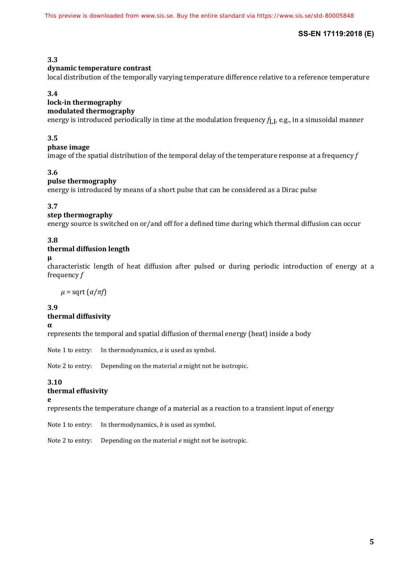#### **3.3**

#### **dynamic temperature contrast**

local distribution of the temporally varying temperature difference relative to a reference temperature

#### **3.4**

#### **lock-in thermography**

#### **modulated thermography**

energy is introduced periodically in time at the modulation frequency  $f_{\text{L},I}$ , e.g., in a sinusoidal manner

#### **3.5**

**phase image**

image of the spatial distribution of the temporal delay of the temperature response at a frequency *f*

#### **3.6**

#### **pulse thermography**

energy is introduced by means of a short pulse that can be considered as a Dirac pulse

#### **3.7**

#### **step thermography**

energy source is switched on or/and off for a defined time during which thermal diffusion can occur

#### **3.8**

#### **thermal diffusion length**

#### **µ**

characteristic length of heat diffusion after pulsed or during periodic introduction of energy at a frequency *f*

#### $\mu$  = sqrt ( $\alpha/\pi f$ )

#### **3.9 thermal diffusivity α**

represents the temporal and spatial diffusion of thermal energy (heat) inside a body

Note 1 to entry: In thermodynamics, *a* is used as symbol.

Note 2 to entry: Depending on the material  $\alpha$  might not be isotropic.

#### **3.10 thermal effusivity**

#### **e**

represents the temperature change of a material as a reaction to a transient input of energy

Note 1 to entry: In thermodynamics, *b* is used as symbol.

Note 2 to entry: Depending on the material *e* might not be isotropic.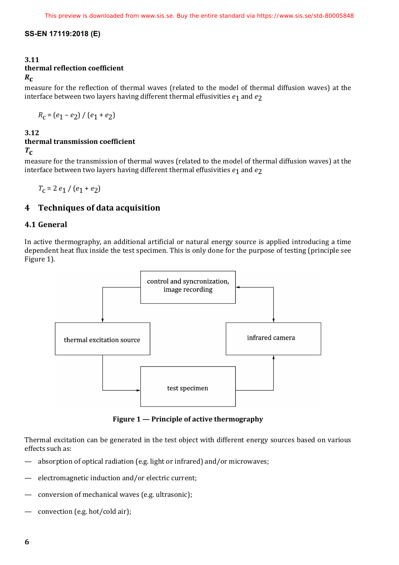#### **3.11 thermal reflection coefficient**  $R_c$

measure for the reflection of thermal waves (related to the model of thermal diffusion waves) at the interface between two layers having different thermal effusivities  $e_1$  and  $e_2$ 

 $R_c = (e_1 - e_2) / (e_1 + e_2)$ 

**3.12**

#### **thermal transmission coefficient**

 $T_c$ 

measure for the transmission of thermal waves (related to the model of thermal diffusion waves) at the interface between two layers having different thermal effusivities *e*<sup>1</sup> and *e*<sup>2</sup>

 $T_c = 2 e_1 / (e_1 + e_2)$ 

#### <span id="page-9-0"></span>**4 Techniques of data acquisition**

#### <span id="page-9-1"></span>**4.1 General**

In active thermography, an additional artificial or natural energy source is applied introducing a time dependent heat flux inside the test specimen. This is only done for the purpose of testing (principle see Figure 1).



**Figure 1 — Principle of active thermography**

Thermal excitation can be generated in the test object with different energy sources based on various effects such as:

- absorption of optical radiation (e.g. light or infrared) and/or microwaves;
- electromagnetic induction and/or electric current;
- conversion of mechanical waves (e.g. ultrasonic);
- convection (e.g. hot/cold air);